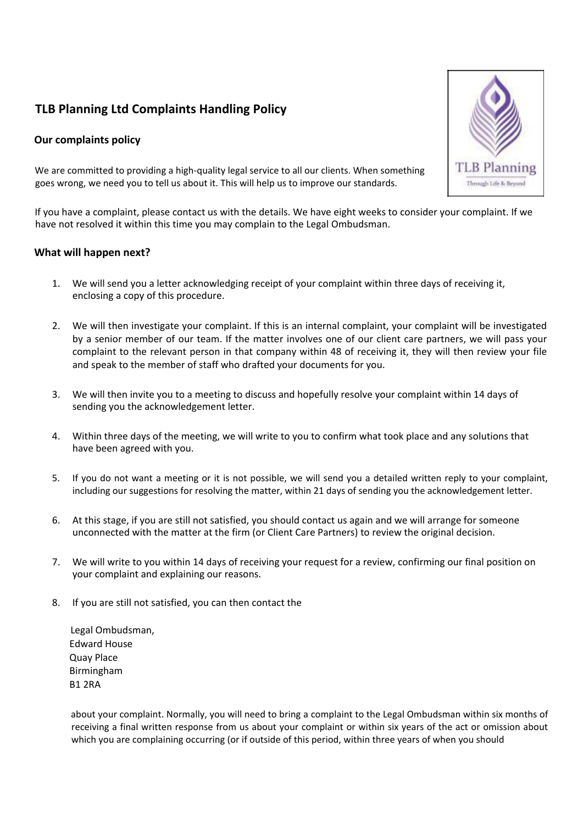## **TLB Planning Ltd Complaints Handling Policy**

## **Our complaints policy**



We are committed to providing a high-quality legal service to all our clients. When something goes wrong, we need you to tell us about it. This will help us to improve our standards.

If you have a complaint, please contact us with the details. We have eight weeks to consider your complaint. If we have not resolved it within this time you may complain to the Legal Ombudsman.

## **What will happen next?**

- 1. We will send you a letter acknowledging receipt of your complaint within three days of receiving it, enclosing a copy of this procedure.
- 2. We will then investigate your complaint. If this is an internal complaint, your complaint will be investigated by a senior member of our team. If the matter involves one of our client care partners, we will pass your complaint to the relevant person in that company within 48 of receiving it, they will then review your file and speak to the member of staff who drafted your documents for you.
- 3. We will then invite you to a meeting to discuss and hopefully resolve your complaint within 14 days of sending you the acknowledgement letter.
- 4. Within three days of the meeting, we will write to you to confirm what took place and any solutions that have been agreed with you.
- 5. If you do not want a meeting or it is not possible, we will send you a detailed written reply to your complaint, including our suggestions for resolving the matter, within 21 days of sending you the acknowledgement letter.
- 6. At this stage, if you are still not satisfied, you should contact us again and we will arrange for someone unconnected with the matter at the firm (or Client Care Partners) to review the original decision.
- 7. We will write to you within 14 days of receiving your request for a review, confirming our final position on your complaint and explaining our reasons.
- 8. If you are still not satisfied, you can then contact the

Legal Ombudsman, Edward House Quay Place Birmingham B1 2RA

about your complaint. Normally, you will need to bring a complaint to the Legal Ombudsman within six months of receiving a final written response from us about your complaint or within six years of the act or omission about which you are complaining occurring (or if outside of this period, within three years of when you should